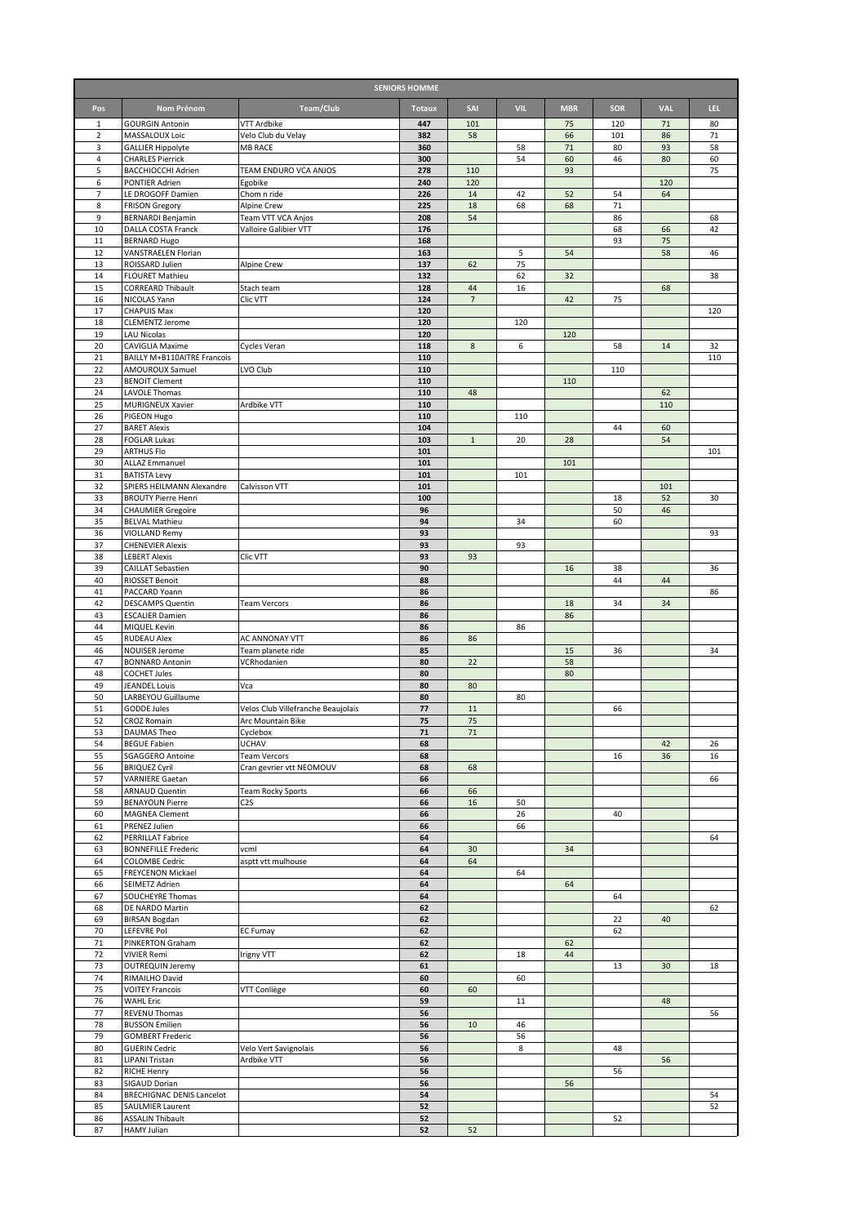| <b>SENIORS HOMME</b> |                                                             |                                    |               |                |            |              |            |            |          |
|----------------------|-------------------------------------------------------------|------------------------------------|---------------|----------------|------------|--------------|------------|------------|----------|
| Pos                  | Nom Prénom                                                  | <b>Team/Club</b>                   | <b>Totaux</b> | SAI            | <b>VIL</b> | <b>MBR</b>   | <b>SOR</b> | <b>VAL</b> | LEL.     |
| 1                    | <b>GOURGIN Antonin</b>                                      | VTT Ardbike                        | 447           | 101            |            | 75           | 120        | 71         | 80       |
| $\mathbf 2$          | MASSALOUX Loic                                              | Velo Club du Velay                 | 382           | 58             |            | 66           | 101        | 86         | 71       |
| 3<br>4               | <b>GALLIER Hippolyte</b><br><b>CHARLES Pierrick</b>         | <b>MB RACE</b>                     | 360<br>300    |                | 58<br>54   | $71\,$<br>60 | 80<br>46   | 93<br>80   | 58<br>60 |
| 5                    | BACCHIOCCHI Adrien                                          | TEAM ENDURO VCA ANJOS              | 278           | 110            |            | 93           |            |            | 75       |
| 6                    | PONTIER Adrien                                              | Egobike                            | 240           | 120            |            |              |            | 120        |          |
| 7                    | LE DROGOFF Damien                                           | Chom n ride                        | 226           | 14             | 42         | 52           | 54         | 64         |          |
| 8<br>9               | <b>FRISON Gregory</b><br><b>BERNARDI Benjamin</b>           | Alpine Crew<br>Team VTT VCA Anjos  | 225<br>208    | 18<br>54       | 68         | 68           | 71<br>86   |            | 68       |
| 10                   | DALLA COSTA Franck                                          | Valloire Galibier VTT              | 176           |                |            |              | 68         | 66         | 42       |
| 11                   | <b>BERNARD Hugo</b>                                         |                                    | 168           |                |            |              | 93         | 75         |          |
| 12<br>13             | VANSTRAELEN Florian<br>ROISSARD Julien                      | Alpine Crew                        | 163<br>137    | 62             | 5<br>75    | 54           |            | 58         | 46       |
| 14                   | <b>FLOURET Mathieu</b>                                      |                                    | 132           |                | 62         | 32           |            |            | 38       |
| 15                   | <b>CORREARD Thibault</b>                                    | Stach team                         | 128           | 44             | 16         |              |            | 68         |          |
| 16                   | NICOLAS Yann                                                | Clic VTT                           | 124           | $\overline{7}$ |            | 42           | 75         |            |          |
| 17<br>18             | <b>CHAPUIS Max</b><br><b>CLEMENTZ Jerome</b>                |                                    | 120<br>120    |                | 120        |              |            |            | 120      |
| 19                   | <b>LAU Nicolas</b>                                          |                                    | 120           |                |            | 120          |            |            |          |
| 20                   | <b>CAVIGLIA Maxime</b>                                      | Cycles Veran                       | 118           | 8              | 6          |              | 58         | 14         | 32       |
| 21<br>22             | BAILLY M+B110AITRE Francois<br>AMOUROUX Samuel              | LVO Club                           | 110<br>110    |                |            |              | 110        |            | 110      |
| 23                   | <b>BENOIT Clement</b>                                       |                                    | 110           |                |            | 110          |            |            |          |
| 24                   | <b>LAVOLE Thomas</b>                                        |                                    | 110           | 48             |            |              |            | 62         |          |
| 25                   | MURIGNEUX Xavier                                            | Ardbike VTT                        | 110           |                |            |              |            | 110        |          |
| 26<br>27             | PIGEON Hugo<br><b>BARET Alexis</b>                          |                                    | 110<br>104    |                | 110        |              | 44         | 60         |          |
| 28                   | <b>FOGLAR Lukas</b>                                         |                                    | 103           | $1\,$          | 20         | 28           |            | 54         |          |
| 29                   | <b>ARTHUS Flo</b>                                           |                                    | 101           |                |            |              |            |            | 101      |
| 30<br>31             | <b>ALLAZ Emmanuel</b><br><b>BATISTA Levy</b>                |                                    | 101<br>101    |                | 101        | 101          |            |            |          |
| 32                   | SPIERS HEILMANN Alexandre                                   | Calvisson VTT                      | 101           |                |            |              |            | 101        |          |
| 33                   | <b>BROUTY Pierre Henri</b>                                  |                                    | 100           |                |            |              | 18         | 52         | 30       |
| 34                   | <b>CHAUMIER Gregoire</b>                                    |                                    | 96            |                |            |              | 50         | 46         |          |
| 35<br>36             | <b>BELVAL Mathieu</b><br>VIOLLAND Remy                      |                                    | 94<br>93      |                | 34         |              | 60         |            | 93       |
| 37                   | <b>CHENEVIER Alexis</b>                                     |                                    | 93            |                | 93         |              |            |            |          |
| 38                   | <b>LEBERT Alexis</b>                                        | Clic VTT                           | 93            | 93             |            |              |            |            |          |
| 39<br>40             | <b>CAILLAT Sebastien</b>                                    |                                    | 90            |                |            | 16           | 38<br>44   |            | 36       |
| 41                   | RIOSSET Benoit<br>PACCARD Yoann                             |                                    | 88<br>86      |                |            |              |            | 44         | 86       |
| 42                   | <b>DESCAMPS Quentin</b>                                     | <b>Team Vercors</b>                | 86            |                |            | 18           | 34         | 34         |          |
| 43                   | <b>ESCALIER Damien</b>                                      |                                    | 86            |                |            | 86           |            |            |          |
| 44<br>45             | MIQUEL Kevin<br>RUDEAU Alex                                 | AC ANNONAY VTT                     | 86<br>86      | 86             | 86         |              |            |            |          |
| 46                   | NOUISER Jerome                                              | Team planete ride                  | 85            |                |            | 15           | 36         |            | 34       |
| 47                   | <b>BONNARD Antonin</b>                                      | VCRhodanien                        | 80            | 22             |            | 58           |            |            |          |
| 48<br>49             | <b>COCHET Jules</b><br><b>JEANDEL Louis</b>                 | Vca                                | 80<br>80      | 80             |            | 80           |            |            |          |
| 50                   | LARBEYOU Guillaume                                          |                                    | 80            |                | 80         |              |            |            |          |
| 51                   | <b>GODDE Jules</b>                                          | Velos Club Villefranche Beaujolais | 77            | 11             |            |              | 66         |            |          |
| 52                   | <b>CROZ Romain</b>                                          | Arc Mountain Bike                  | 75            | 75             |            |              |            |            |          |
| 53<br>54             | <b>DAUMAS Theo</b><br><b>BEGUE Fabien</b>                   | Cyclebox<br>UCHAV                  | 71<br>68      | $71$           |            |              |            | 42         | 26       |
| 55                   | <b>SGAGGERO Antoine</b>                                     | <b>Team Vercors</b>                | 68            |                |            |              | 16         | 36         | 16       |
| 56                   | <b>BRIQUEZ Cyril</b>                                        | Cran gevrier vtt NEOMOUV           | 68            | 68             |            |              |            |            |          |
| 57<br>58             | <b>VARNIERE Gaetan</b><br><b>ARNAUD Quentin</b>             | Team Rocky Sports                  | 66<br>66      | 66             |            |              |            |            | 66       |
| 59                   | <b>BENAYOUN Pierre</b>                                      | C <sub>2</sub> S                   | 66            | 16             | 50         |              |            |            |          |
| 60                   | <b>MAGNEA Clement</b>                                       |                                    | 66            |                | 26         |              | 40         |            |          |
| 61<br>62             | PRENEZ Julien<br>PERRILLAT Fabrice                          |                                    | 66<br>64      |                | 66         |              |            |            | 64       |
| 63                   | <b>BONNEFILLE Frederic</b>                                  | vcml                               | 64            | 30             |            | 34           |            |            |          |
| 64                   | <b>COLOMBE Cedric</b>                                       | asptt vtt mulhouse                 | 64            | 64             |            |              |            |            |          |
| 65                   | FREYCENON Mickael                                           |                                    | 64            |                | 64         |              |            |            |          |
| 66<br>67             | SEIMETZ Adrien<br>SOUCHEYRE Thomas                          |                                    | 64<br>64      |                |            | 64           | 64         |            |          |
| 68                   | DE NARDO Martin                                             |                                    | 62            |                |            |              |            |            | 62       |
| 69                   | <b>BIRSAN Bogdan</b>                                        |                                    | 62            |                |            |              | 22         | 40         |          |
| 70<br>71             | LEFEVRE Pol<br>PINKERTON Graham                             | EC Fumay                           | 62<br>62      |                |            | 62           | 62         |            |          |
| 72                   | <b>VIVIER Remi</b>                                          | Irigny VTT                         | 62            |                | 18         | 44           |            |            |          |
| 73                   | <b>OUTREQUIN Jeremy</b>                                     |                                    | 61            |                |            |              | 13         | 30         | 18       |
| 74                   | RIMAILHO David                                              |                                    | 60            |                | 60         |              |            |            |          |
| 75<br>76             | <b>VOITEY Francois</b><br><b>WAHL Eric</b>                  | VTT Conliège                       | 60<br>59      | 60             | 11         |              |            | 48         |          |
| 77                   | REVENU Thomas                                               |                                    | 56            |                |            |              |            |            | 56       |
| 78                   | <b>BUSSON Emilien</b>                                       |                                    | 56            | 10             | 46         |              |            |            |          |
| 79<br>80             | <b>GOMBERT Frederic</b><br><b>GUERIN Cedric</b>             | Velo Vert Savignolais              | 56<br>56      |                | 56<br>8    |              | 48         |            |          |
| 81                   | LIPANI Tristan                                              | Ardbike VTT                        | 56            |                |            |              |            | 56         |          |
| 82                   | <b>RICHE Henry</b>                                          |                                    | 56            |                |            |              | 56         |            |          |
| 83                   | SIGAUD Dorian                                               |                                    | 56            |                |            | 56           |            |            |          |
| 84<br>85             | <b>BRECHIGNAC DENIS Lancelot</b><br><b>SAULMIER Laurent</b> |                                    | 54<br>52      |                |            |              |            |            | 54<br>52 |
| 86                   | <b>ASSALIN Thibault</b>                                     |                                    | 52            |                |            |              | 52         |            |          |
| 87                   | <b>HAMY Julian</b>                                          |                                    | 52            | 52             |            |              |            |            |          |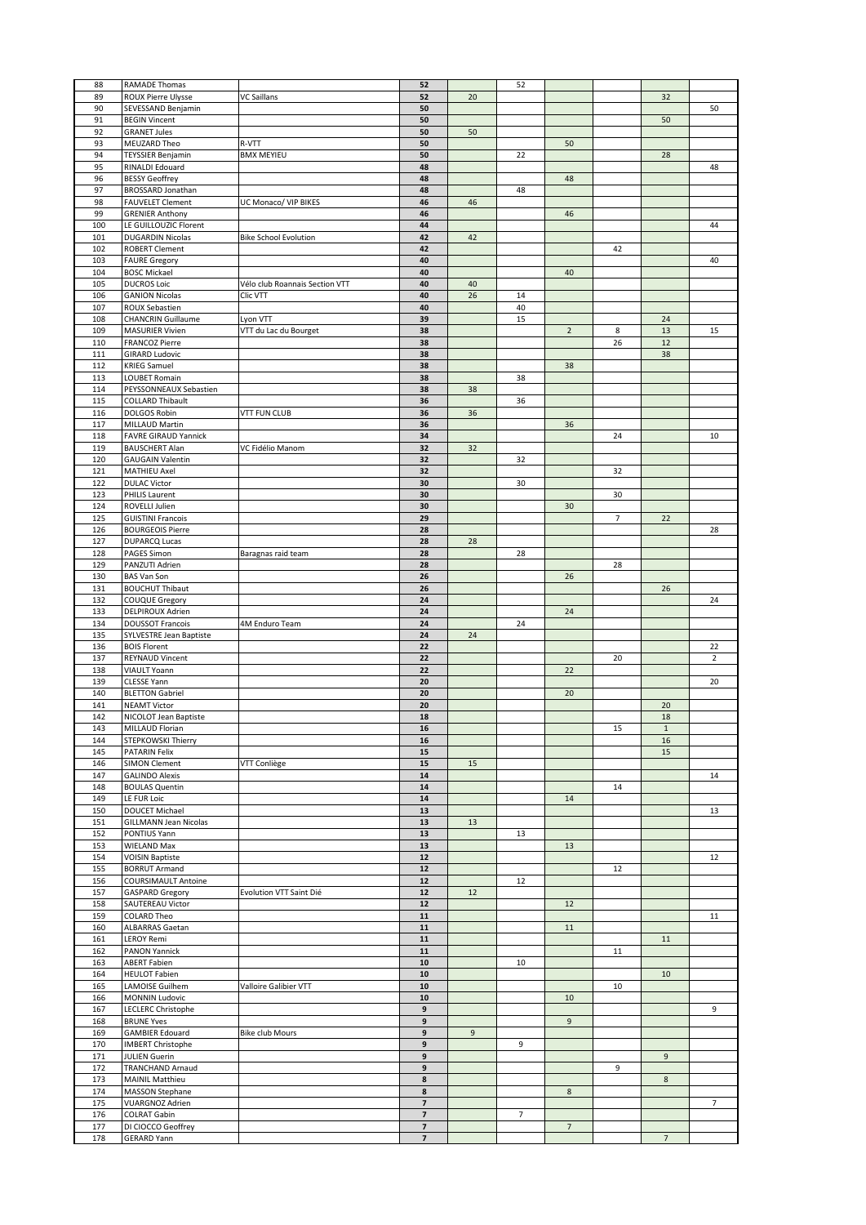| 88         | RAMADE Thomas                                  |                                | 52                                                  |    | 52             |                |                |                          |                         |
|------------|------------------------------------------------|--------------------------------|-----------------------------------------------------|----|----------------|----------------|----------------|--------------------------|-------------------------|
| 89         | <b>ROUX Pierre Ulysse</b>                      | <b>VC Saillans</b>             | 52                                                  | 20 |                |                |                | 32                       |                         |
| 90         | SEVESSAND Benjamin                             |                                | 50                                                  |    |                |                |                |                          | 50                      |
| 91         | <b>BEGIN Vincent</b>                           |                                | 50                                                  |    |                |                |                | 50                       |                         |
| 92         | <b>GRANET Jules</b>                            |                                | 50                                                  | 50 |                |                |                |                          |                         |
| 93<br>94   | MEUZARD Theo                                   | R-VTT                          | 50                                                  |    |                | 50             |                |                          |                         |
| 95         | <b>TEYSSIER Benjamin</b>                       | <b>BMX MEYIEU</b>              | 50<br>48                                            |    | 22             |                |                | 28                       | 48                      |
| 96         | RINALDI Edouard<br><b>BESSY Geoffrey</b>       |                                | 48                                                  |    |                | 48             |                |                          |                         |
| 97         | BROSSARD Jonathan                              |                                | 48                                                  |    | 48             |                |                |                          |                         |
| 98         | <b>FAUVELET Clement</b>                        | UC Monaco/ VIP BIKES           | 46                                                  | 46 |                |                |                |                          |                         |
| 99         | <b>GRENIER Anthony</b>                         |                                | 46                                                  |    |                | 46             |                |                          |                         |
| 100        | LE GUILLOUZIC Florent                          |                                | 44                                                  |    |                |                |                |                          | 44                      |
| 101        | <b>DUGARDIN Nicolas</b>                        | <b>Bike School Evolution</b>   | 42                                                  | 42 |                |                |                |                          |                         |
| 102        | <b>ROBERT Clement</b>                          |                                | 42                                                  |    |                |                | 42             |                          |                         |
| 103        | <b>FAURE Gregory</b>                           |                                | 40                                                  |    |                |                |                |                          | 40                      |
| 104        | <b>BOSC Mickael</b>                            |                                | 40                                                  |    |                | 40             |                |                          |                         |
| 105        | <b>DUCROS Loic</b>                             | Vélo club Roannais Section VTT | 40                                                  | 40 |                |                |                |                          |                         |
| 106        | <b>GANION Nicolas</b>                          | Clic VTT                       | 40                                                  | 26 | 14             |                |                |                          |                         |
| 107        | ROUX Sebastien                                 |                                | 40                                                  |    | 40             |                |                |                          |                         |
| 108        | <b>CHANCRIN Guillaume</b>                      | Lyon VTT                       | 39                                                  |    | 15             |                |                | 24                       |                         |
| 109        | <b>MASURIER Vivien</b>                         | VTT du Lac du Bourget          | 38                                                  |    |                | $\sqrt{2}$     | $\bf 8$        | 13                       | 15                      |
| 110        | <b>FRANCOZ Pierre</b>                          |                                | 38                                                  |    |                |                | 26             | 12                       |                         |
| 111        | <b>GIRARD Ludovic</b>                          |                                | 38                                                  |    |                |                |                | 38                       |                         |
| 112        | <b>KRIEG Samuel</b>                            |                                | 38                                                  |    |                | 38             |                |                          |                         |
| 113        | <b>LOUBET Romain</b>                           |                                | 38                                                  |    | 38             |                |                |                          |                         |
| 114        | PEYSSONNEAUX Sebastien                         |                                | 38                                                  | 38 |                |                |                |                          |                         |
| 115        | <b>COLLARD Thibault</b>                        |                                | 36                                                  |    | 36             |                |                |                          |                         |
| 116        | DOLGOS Robin                                   | <b>VTT FUN CLUB</b>            | 36                                                  | 36 |                |                |                |                          |                         |
| 117        | MILLAUD Martin                                 |                                | 36                                                  |    |                | 36             |                |                          |                         |
| 118        | FAVRE GIRAUD Yannick                           |                                | 34                                                  |    |                |                | 24             |                          | 10                      |
| 119        | <b>BAUSCHERT Alan</b>                          | VC Fidélio Manom               | 32                                                  | 32 |                |                |                |                          |                         |
| 120        | <b>GAUGAIN Valentin</b>                        |                                | 32                                                  |    | 32             |                |                |                          |                         |
| 121        | MATHIEU Axel                                   |                                | 32                                                  |    |                |                | 32             |                          |                         |
| 122        | <b>DULAC Victor</b>                            |                                | 30                                                  |    | 30             |                |                |                          |                         |
| 123        | PHILIS Laurent                                 |                                | 30                                                  |    |                |                | 30             |                          |                         |
| 124        | ROVELLI Julien                                 |                                | 30                                                  |    |                | 30             |                |                          |                         |
| 125        | <b>GUISTINI Francois</b>                       |                                | 29                                                  |    |                |                | $\overline{7}$ | 22                       |                         |
| 126        | <b>BOURGEOIS Pierre</b>                        |                                | 28                                                  |    |                |                |                |                          | 28                      |
| 127        | <b>DUPARCQ Lucas</b>                           |                                | 28                                                  | 28 |                |                |                |                          |                         |
| 128        | PAGES Simon                                    | Baragnas raid team             | 28                                                  |    | 28             |                |                |                          |                         |
| 129        | PANZUTI Adrien                                 |                                | 28                                                  |    |                |                | 28             |                          |                         |
| 130        | <b>BAS Van Son</b>                             |                                | 26                                                  |    |                | 26             |                |                          |                         |
| 131        | <b>BOUCHUT Thibaut</b>                         |                                | 26                                                  |    |                |                |                | 26                       |                         |
| 132        | COUQUE Gregory                                 |                                | 24                                                  |    |                |                |                |                          | 24                      |
| 133        | DELPIROUX Adrien                               |                                | 24                                                  |    |                | 24             |                |                          |                         |
|            |                                                |                                |                                                     |    |                |                |                |                          |                         |
| 134        | <b>DOUSSOT Francois</b>                        | 4M Enduro Team                 | 24                                                  |    | 24             |                |                |                          |                         |
| 135        | SYLVESTRE Jean Baptiste                        |                                | 24                                                  | 24 |                |                |                |                          |                         |
| 136        | <b>BOIS Florent</b>                            |                                | 22                                                  |    |                |                |                |                          | 22                      |
| 137        | <b>REYNAUD Vincent</b>                         |                                | 22                                                  |    |                |                | 20             |                          | $\overline{\mathbf{c}}$ |
| 138        | VIAULT Yoann                                   |                                | 22                                                  |    |                | 22             |                |                          |                         |
| 139        | <b>CLESSE Yann</b>                             |                                | 20                                                  |    |                |                |                |                          | 20                      |
| 140        | <b>BLETTON Gabriel</b>                         |                                | 20                                                  |    |                | 20             |                |                          |                         |
| 141        | <b>NEAMT Victor</b>                            |                                | 20                                                  |    |                |                |                | 20                       |                         |
| 142        | NICOLOT Jean Baptiste                          |                                | 18                                                  |    |                |                |                | 18                       |                         |
| 143        | MILLAUD Florian                                |                                | ${\bf 16}$                                          |    |                |                | 15             | $\,1\,$                  |                         |
| 144        | STEPKOWSKI Thierry                             |                                | 16                                                  |    |                |                |                | 16                       |                         |
| 145        | PATARIN Felix                                  |                                | 15                                                  |    |                |                |                | 15                       |                         |
| 146        | <b>SIMON Clement</b>                           | VTT Conliège                   | 15                                                  | 15 |                |                |                |                          |                         |
| 147        | <b>GALINDO Alexis</b>                          |                                | 14                                                  |    |                |                |                |                          | 14                      |
| 148        | <b>BOULAS Quentin</b>                          |                                | 14                                                  |    |                |                | 14             |                          |                         |
| 149        | LE FUR Loic                                    |                                | ${\bf 14}$                                          |    |                | 14             |                |                          |                         |
| 150        | <b>DOUCET Michael</b>                          |                                | 13                                                  |    |                |                |                |                          | 13                      |
| 151        | <b>GILLMANN Jean Nicolas</b>                   |                                | 13                                                  | 13 |                |                |                |                          |                         |
| 152        | PONTIUS Yann                                   |                                | 13                                                  |    | 13             |                |                |                          |                         |
| 153        | WIELAND Max                                    |                                | 13                                                  |    |                | 13             |                |                          |                         |
| 154        | <b>VOISIN Baptiste</b><br><b>BORRUT Armand</b> |                                | ${\bf 12}$                                          |    |                |                |                |                          | 12                      |
| 155<br>156 | COURSIMAULT Antoine                            |                                | 12<br>12                                            |    | 12             |                | 12             |                          |                         |
| 157        |                                                | Evolution VTT Saint Dié        | ${\bf 12}$                                          | 12 |                |                |                |                          |                         |
| 158        | <b>GASPARD Gregory</b><br>SAUTEREAU Victor     |                                | 12                                                  |    |                | 12             |                |                          |                         |
| 159        | <b>COLARD Theo</b>                             |                                | 11                                                  |    |                |                |                |                          | 11                      |
| 160        | ALBARRAS Gaetan                                |                                | 11                                                  |    |                | 11             |                |                          |                         |
| 161        | <b>LEROY Remi</b>                              |                                | 11                                                  |    |                |                |                | 11                       |                         |
| 162        | PANON Yannick                                  |                                | 11                                                  |    |                |                | 11             |                          |                         |
| 163        | <b>ABERT Fabien</b>                            |                                | ${\bf 10}$                                          |    | 10             |                |                |                          |                         |
| 164        | <b>HEULOT Fabien</b>                           |                                | 10                                                  |    |                |                |                | 10                       |                         |
| 165        | LAMOISE Guilhem                                | Valloire Galibier VTT          | 10                                                  |    |                |                | 10             |                          |                         |
| 166        | <b>MONNIN Ludovic</b>                          |                                | 10                                                  |    |                | 10             |                |                          |                         |
| 167        | LECLERC Christophe                             |                                | 9                                                   |    |                |                |                |                          | 9                       |
| 168        | <b>BRUNE Yves</b>                              |                                | 9                                                   |    |                | 9              |                |                          |                         |
| 169        | <b>GAMBIER Edouard</b>                         | <b>Bike club Mours</b>         | 9                                                   | 9  |                |                |                |                          |                         |
| 170        | <b>IMBERT Christophe</b>                       |                                | 9                                                   |    | 9              |                |                |                          |                         |
| 171        | <b>JULIEN Guerin</b>                           |                                | 9                                                   |    |                |                |                | 9                        |                         |
| 172        | TRANCHAND Arnaud                               |                                | 9                                                   |    |                |                | 9              |                          |                         |
| 173        | <b>MAINIL Matthieu</b>                         |                                | 8                                                   |    |                |                |                | 8                        |                         |
| 174        | <b>MASSON Stephane</b>                         |                                | 8                                                   |    |                | 8              |                |                          |                         |
| 175        | <b>VUARGNOZ Adrien</b>                         |                                | $\overline{\mathbf{z}}$                             |    |                |                |                |                          | 7                       |
| 176        | <b>COLRAT Gabin</b>                            |                                | $\overline{7}$                                      |    | $\overline{7}$ |                |                |                          |                         |
| 177<br>178 | DI CIOCCO Geoffrey<br><b>GERARD Yann</b>       |                                | $\overline{\phantom{a}}$<br>$\overline{\mathbf{z}}$ |    |                | $\overline{7}$ |                | $\overline{\phantom{a}}$ |                         |